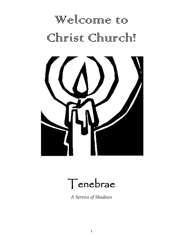# Welconne to Christ Church!





*A Service of Shadows*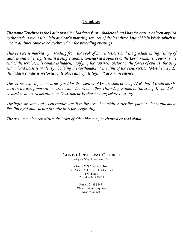# **Tenebrae**

*The name Tenebrae is the Latin word for "darkness" or "shadows," and has for centuries been applied to the ancient monastic night and early morning services of the last three days of Holy Week, which in medieval times came to be celebrated on the preceding evenings.*

*This service is marked by a reading from the book of Lamentations and the gradual extinguishing of candles and other lights until a single candle, considered a symbol of the Lord, remains. Towards the end of the service, this candle is hidden, typifying the apparent victory of the forces of evil. At the very end, a loud noise is made, symbolizing the earthquake at the time of the resurrection (Matthew 28:2), the hidden candle is restored to its place and by its light all depart in silence.*

*The service which follows is designed for the evening of Wednesday of Holy Week, but it could also be used in the early morning hours (before dawn) on either Thursday, Friday or Saturday. It could also be used as an extra devotion on Thursday or Friday evening before retiring.*

*The lights are dim and seven candles are lit in the area of worship. Enter the space in silence and allow the dim light and silence to settle in before beginning.*

*The psalms which constitute the heart of this office may be chanted or read aloud.*

# CHRIST EPISCOPAL CHURCH

*Living the Way of Love since 1640*

*Church:* 25390 Maddox Road *Parish Hall:* 37497 Zach Fowler Road P.O. Box 8 Chaptico, MD 20621

> *Phone:* 301.884.3451 *E-Mail:* office@cckqp.net www.cckqp.net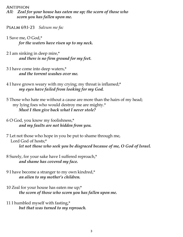- *All: Zeal for your house has eaten me up; the scorn of those who scorn you has fallen upon me.*
- PSALM 69:1-23 Salvum me fac
- 1 Save me, O God,\*  *for the waters have risen up to my neck.*
- 2 I am sinking in deep mire,\*  *and there is no firm ground for my feet.*
- 3 I have come into deep waters,\*  *and the torrent washes over me.*
- 4 I have grown weary with my crying; my throat is inflamed;\*  *my eyes have failed from looking for my God.*
- 5 Those who hate me without a cause are more than the hairs of my head; my lying foes who would destroy me are mighty.\* *Must I then give back what I never stole?*
- 6 O God, you know my foolishness,\* *and my faults are not hidden from you.*
- 7 Let not those who hope in you be put to shame through me, Lord God of hosts;\* *let not those who seek you be disgraced because of me, O God of Israel.*
- 8 Surely, for your sake have I suffered reproach,\* *and shame has covered my face.*
- 9 I have become a stranger to my own kindred,\* *an alien to my mother's children.*
- 10 Zeal for your house has eaten me up;\*  *the scorn of those who scorn you has fallen upon me.*
- 11 I humbled myself with fasting,\* *but that was turned to my reproach.*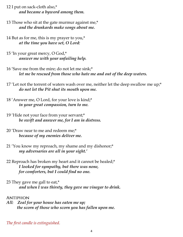- 12 I put on sack-cloth also,\*  *and became a byword among them.*
- 13 Those who sit at the gate murmur against me,\* *and the drunkards make songs about me.*
- 14 But as for me, this is my prayer to you,\* *at the time you have set, O Lord:*
- 15 'In your great mercy, O God,\* *answer me with your unfailing help.*
- 16 'Save me from the mire; do not let me sink;\*  *let me be rescued from those who hate me and out of the deep waters.*
- 17 'Let not the torrent of waters wash over me, neither let the deep swallow me up;\* *do not let the Pit shut its mouth upon me.*
- 18 'Answer me, O Lord, for your love is kind;\*  *in your great compassion, turn to me.*
- 19 'Hide not your face from your servant;\* *be swift and answer me, for I am in distress.*
- 20 'Draw near to me and redeem me;\* *because of my enemies deliver me.*
- 21 'You know my reproach, my shame and my dishonor;\* *my adversaries are all in your sight.'*
- 22 Reproach has broken my heart and it cannot be healed;\* *I looked for sympathy, but there was none, for comforters, but I could find no one.*
- 23 They gave me gall to eat,\* *and when I was thirsty, they gave me vinegar to drink.*

*All: Zeal for your house has eaten me up; the scorn of those who scorn you has fallen upon me.*

*The first candle is extinguished.*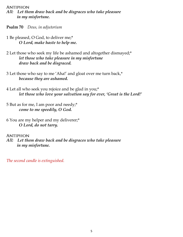- *All: Let them draw back and be disgraces who take pleasure in my misfortune.*
- **Psalm 70** *Deus, in adjutorium*
- 1 Be pleased, O God, to deliver me;\* *O Lord, make haste to help me.*
- 2 Let those who seek my life be ashamed and altogether dismayed;\* *let those who take pleasure in my misfortune draw back and be disgraced.*
- 3 Let those who say to me 'Aha!' and gloat over me turn back,\* *because they are ashamed.*
- 4 Let all who seek you rejoice and be glad in you;\* *let those who love your salvation say for ever, 'Great is the Lord!'*
- 5 But as for me, I am poor and needy;\* *come to me speedily, O God.*
- 6 You are my helper and my deliverer;\* *O Lord, do not tarry.*

#### **ANTIPHON**

*All: Let them draw back and be disgraces who take pleasure in my misfortune.*

*The second candle is extinguished.*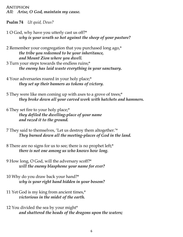**ANTIPHON** *All: Arise, O God, maintain my cause.*

**Psalm 74** *Ut quid, Deus?*

- 1 O God, why have you utterly cast us off?\* *why is your wrath so hot against the sheep of your pasture?*
- 2 Remember your congregation that you purchased long ago,\* *the tribe you redeemed to be your inheritance, and Mount Zion where you dwell.*
- 3 Turn your steps towards the endless ruins;\* *the enemy has laid waste everything in your sanctuary.*
- 4 Your adversaries roared in your holy place;\* *they set up their banners as tokens of victory.*
- 5 They were like men coming up with axes to a grove of trees;\* *they broke down all your carved work with hatchets and hammers.*
- 6 They set fire to your holy place;\* *they defiled the dwelling-place of your name and razed it to the ground.*
- 7 They said to themselves, 'Let us destroy them altogether.'\* *They burned down all the meeting-places of God in the land.*
- 8 There are no signs for us to see; there is no prophet left;\* *there is not one among us who knows how long.*
- 9 How long, O God, will the adversary scoff?\* *will the enemy blaspheme your name for ever?*
- 10 Why do you draw back your hand?\* *why is your right hand hidden in your bosom?*
- 11 Yet God is my king from ancient times,\* *victorious in the midst of the earth.*
- 12 You divided the sea by your might\* *and shattered the heads of the dragons upon the waters;*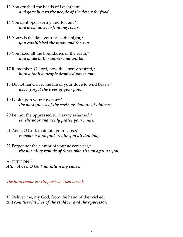- 13 You crushed the heads of Leviathan\* *and gave him to the people of the desert for food.*
- 14 You split open spring and torrent;\* *you dried up ever-flowing rivers.*
- 15 Yours is the day, yours also the night;\* *you established the moon and the sun.*
- 16 You fixed all the boundaries of the earth;\* *you made both summer and winter.*
- 17 Remember, O Lord, how the enemy scoffed,\* *how a foolish people despised your name.*
- 18 Do not hand over the life of your dove to wild beasts;\* *never forget the lives of your poor.*
- 19 Look upon your covenant;\* *the dark places of the earth are haunts of violence.*
- 20 Let not the oppressed turn away ashamed;\* *let the poor and needy praise your name.*
- 21 Arise, O God, maintain your cause;\* *remember how fools revile you all day long.*
- 22 Forget not the clamor of your adversaries,\* *the unending tumult of those who rise up against you.*

**ANTIPHON 3** *All: Arise, O God, maintain my cause.*

*The third candle is extinguished. Then is said:*

*V.* Deliver me, my God, from the hand of the wicked: *R. From the clutches of the evildoer and the oppressor.*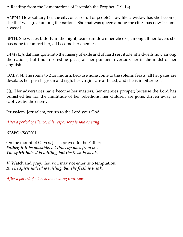A Reading from the Lamentations of Jeremiah the Prophet. (1:1-14)

ALEPH. How solitary lies the city, once so full of people! How like a widow has she become, she that was great among the nations! She that was queen among the cities has now become a vassal.

BETH. She weeps bitterly in the night, tears run down her cheeks; among all her lovers she has none to comfort her; all become her enemies.

Judah has gone into the misery of exile and of hard servitude; she dwells now among the nations, but finds no resting place; all her pursuers overtook her in the midst of her anguish.

DALETH. The roads to Zion mourn, because none come to the solemn feasts; all her gates are desolate, her priests groan and sigh; her virgins are afflicted, and she is in bitterness.

Her adversaries have become her masters, her enemies prosper; because the Lord has punished her for the multitude of her rebellions; her children are gone, driven away as captives by the enemy.

Jerusalem, Jerusalem, return to the Lord your God!

*After a period of silence, this responsory is said or sung:*

**RESPONSORY 1** 

On the mount of Olives, Jesus prayed to the Father: *Father, if it be possible, let this cup pass from me. The spirit indeed is willing, but the flesh is weak.*

*V.* Watch and pray, that you may not enter into temptation. *R. The spirit indeed is willing, but the flesh is weak.*

*After a period of silence, the reading continues:*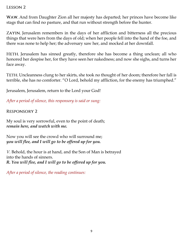## **LESSON 2**

WAW. And from Daughter Zion all her majesty has departed; her princes have become like stags that can find no pasture, and that run without strength before the hunter.

ZAYIN. Jerusalem remembers in the days of her affliction and bitterness all the precious things that were hers from the days of old; when her people fell into the hand of the foe, and there was none to help her; the adversary saw her, and mocked at her downfall.

HETH. Jerusalem has sinned greatly, therefore she has become a thing unclean; all who honored her despise her, for they have seen her nakedness; and now she sighs, and turns her face away.

Uncleanness clung to her skirts, she took no thought of her doom; therefore her fall is terrible, she has no comforter. "O Lord, behold my affliction, for the enemy has triumphed."

Jerusalem, Jerusalem, return to the Lord your God!

*After a period of silence, this responsory is said or sung:*

**RESPONSORY 2** 

My soul is very sorrowful, even to the point of death; *remain here, and watch with me.*

Now you will see the crowd who will surround me; *you will flee, and I will go to be offered up for you.*

*V.* Behold, the hour is at hand, and the Son of Man is betrayed into the hands of sinners. *R. You will flee, and I will go to be offered up for you.*

*After a period of silence, the reading continues:*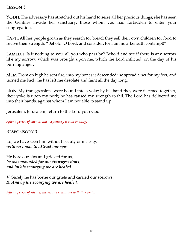### **LESSON 3**

The adversary has stretched out his hand to seize all her precious things; she has seen the Gentiles invade her sanctuary, those whom you had forbidden to enter your congregation.

All her people groan as they search for bread; they sell their own children for food to revive their strength. "Behold, O Lord, and consider, for I am now beneath contempt!"

LAMEDH. Is it nothing to you, all you who pass by? Behold and see if there is any sorrow like my sorrow, which was brought upon me, which the Lord inflicted, on the day of his burning anger.

From on high he sent fire, into my bones it descended; he spread a net for my feet, and turned me back; he has left me desolate and faint all the day long.

NUN. My transgressions were bound into a yoke; by his hand they were fastened together; their yoke is upon my neck; he has caused my strength to fail. The Lord has delivered me into their hands, against whom I am not able to stand up.

Jerusalem, Jerusalem, return to the Lord your God!

*After a period of silence, this responsory is said or sung:*

**RESPONSORY 3** 

Lo, we have seen him without beauty or majesty, *with no looks to attract our eyes.*

He bore our sins and grieved for us, *he was wounded for our transgressions, and by his scourging we are healed.*

*V.* Surely he has borne our griefs and carried our sorrows. *R. And by his scourging we are healed.*

*After a period of silence, the service continues with this psalm:*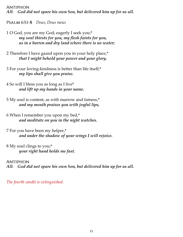**ANTIPHON** *All: God did not spare his own Son, but delivered him up for us all.*

*Deus, Deus meus*

- 1 O God, you are my God; eagerly I seek you;\* *my soul thirsts for you, my flesh faints for you, as in a barren and dry land where there is no water;*
- 2 Therefore I have gazed upon you in your holy place,\* *that I might behold your power and your glory.*
- 3 For your loving-kindness is better than life itself;\* *my lips shall give you praise.*
- 4 So will I bless you as long as I live\* *and lift up my hands in your name.*
- 5 My soul is content, as with marrow and fatness,\* *and my mouth praises you with joyful lips,*
- 6 When I remember you upon my bed,\* *and meditate on you in the night watches.*
- 7 For you have been my helper,\* *and under the shadow of your wings I will rejoice.*
- 8 My soul clings to you;\* *your right hand holds me fast.*

**ANTIPHON** *All: God did not spare his own Son, but delivered him up for us all.*

*The fourth candle is extinguished.*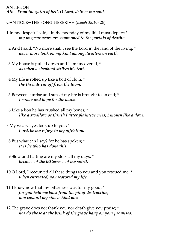#### **ANTIPHON** *All: From the gates of hell, O Lord, deliver my soul.*

(*Isaiah 38:10- 20*)

- 1 In my despair I said, "In the noonday of my life I must depart; \* *my unspent years are summoned to the portals of death."*
	- 2 And I said, "No more shall I see the Lord in the land of the living, \* *never more look on my kind among dwellers on earth.*
	- 3 My house is pulled down and I am uncovered, \* *as when a shepherd strikes his tent.*
	- 4 My life is rolled up like a bolt of cloth, \* *the threads cut off from the loom.*
	- 5 Between sunrise and sunset my life is brought to an end; \* *I cower and hope for the dawn.*
	- 6 Like a lion he has crushed all my bones; \* *like a swallow or thrush I utter plaintive cries; I mourn like a dove.*
- 7 My weary eyes look up to you; \* *Lord, be my refuge in my affliction."*
- 8 But what can I say? for he has spoken; \* *it is he who has done this.*
- 9 Slow and halting are my steps all my days, \* *because of the bitterness of my spirit.*
- 10 O Lord, I recounted all these things to you and you rescued me; \* *when entreated, you restored my life.*
- 11 I know now that my bitterness was for my good, \* *for you held me back from the pit of destruction, you cast all my sins behind you.*
- 12 The grave does not thank you nor death give you praise; \* *nor do those at the brink of the grave hang on your promises.*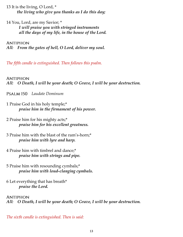13 It is the living, O Lord, \* *the living who give you thanks as I do this day;* 

14 You, Lord, are my Savior; \* *I will praise you with stringed instruments all the days of my life, in the house of the Lord.*

**ANTIPHON** *All: From the gates of hell, O Lord, deliver my soul.*

*The fifth candle is extinguished. Then follows this psalm.*

**ANTIPHON** *All: O Death, I will be your death; O Grave, I will be your destruction.*

*Laudate Dominum*

- 1 Praise God in his holy temple;\* *praise him in the firmament of his power.*
- 2 Praise him for his mighty acts;\* *praise him for his excellent greatness.*
- 3 Praise him with the blast of the ram's-horn;\* *praise him with lyre and harp.*
- 4 Praise him with timbrel and dance;\* *praise him with strings and pipe.*
- 5 Praise him with resounding cymbals;\* *praise him with loud-clanging cymbals.*
- 6 Let everything that has breath\* *praise the Lord.*

**ANTIPHON** *All: O Death, I will be your death; O Grave, I will be your destruction.*

*The sixth candle is extinguished. Then is said:*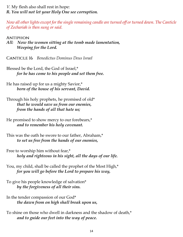*V.* My flesh also shall rest in hope: *R. You will not let your Holy One see corruption.*

*Now all other lights except for the single remaining candle are turned off or turned down. The Canticle of Zechariah is then sung or said.*

**ANTIPHON** 

*All: Now the women sitting at the tomb made lamentation, Weeping for the Lord.*

*Benedictus Dominus Deus Israel*

Blessed be the Lord, the God of Israel,\*  *for he has come to his people and set them free.*

He has raised up for us a mighty Savior,\*  *born of the house of his servant, David.*

Through his holy prophets, he promised of old\*  *that he would save us from our enemies, from the hands of all that hate us;*

He promised to show mercy to our forebears,\* *and to remember his holy covenant.*

This was the oath he swore to our father, Abraham,\*  *to set us free from the hands of our enemies,*

Free to worship him without fear,\*  *holy and righteous in his sight, all the days of our life.*

You, my child, shall be called the prophet of the Most High,\*  *for you will go before the Lord to prepare his way,*

To give his people knowledge of salvation\*  *by the forgiveness of all their sins.*

In the tender compassion of our God\*  *the dawn from on high shall break upon us,*

To shine on those who dwell in darkness and the shadow of death,\*  *and to guide our feet into the way of peace.*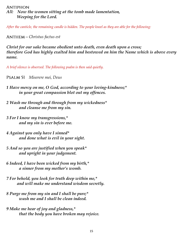*All: Now the women sitting at the tomb made lamentation, Weeping for the Lord.*

*After the canticle, the remaining candle is hidden. The people kneel as they are able for the following:*

*—Christus factus est*

*Christ for our sake became obedient unto death, even death upon a cross; therefore God has highly exalted him and bestowed on him the Name which is above every name.*

*A brief silence is observed. The following psalm is then said quietly.*

*Miserere mei, Deus*

- *1 Have mercy on me, O God, according to your loving-kindness;\* in your great compassion blot out my offences.*
- *2 Wash me through and through from my wickedness\* and cleanse me from my sin.*
- *3 For I know my transgressions,\* and my sin is ever before me.*
- *4 Against you only have I sinned\* and done what is evil in your sight.*
- *5 And so you are justified when you speak\* and upright in your judgement.*
- *6 Indeed, I have been wicked from my birth,\* a sinner from my mother's womb.*
- *7 For behold, you look for truth deep within me,\* and will make me understand wisdom secretly.*
- *8 Purge me from my sin and I shall be pure;\* wash me and I shall be clean indeed.*
- *9 Make me hear of joy and gladness,\* that the body you have broken may rejoice.*